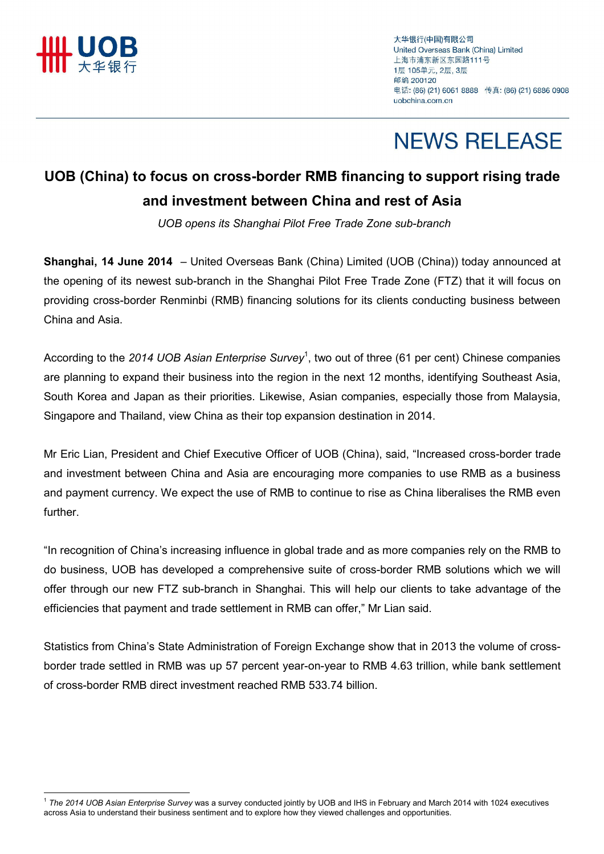

 $\overline{a}$ 

大华银行(中国)有限公司 United Overseas Bank (China) Limited 上海市浦东新区东园路111号 1层 105单元, 2层, 3层 邮编 200120 电话: (86) (21) 6061 8888 传真: (86) (21) 6886 0908 uobchina.com.cn

## **NEWS RELEASE**

### UOB (China) to focus on cross-border RMB financing to support rising trade and investment between China and rest of Asia

UOB opens its Shanghai Pilot Free Trade Zone sub-branch

Shanghai, 14 June 2014 – United Overseas Bank (China) Limited (UOB (China)) today announced at the opening of its newest sub-branch in the Shanghai Pilot Free Trade Zone (FTZ) that it will focus on providing cross-border Renminbi (RMB) financing solutions for its clients conducting business between China and Asia.

According to the 2014 UOB Asian Enterprise Survey<sup>1</sup>, two out of three (61 per cent) Chinese companies are planning to expand their business into the region in the next 12 months, identifying Southeast Asia, South Korea and Japan as their priorities. Likewise, Asian companies, especially those from Malaysia, Singapore and Thailand, view China as their top expansion destination in 2014.

Mr Eric Lian, President and Chief Executive Officer of UOB (China), said, "Increased cross-border trade and investment between China and Asia are encouraging more companies to use RMB as a business and payment currency. We expect the use of RMB to continue to rise as China liberalises the RMB even further.

"In recognition of China's increasing influence in global trade and as more companies rely on the RMB to do business, UOB has developed a comprehensive suite of cross-border RMB solutions which we will offer through our new FTZ sub-branch in Shanghai. This will help our clients to take advantage of the efficiencies that payment and trade settlement in RMB can offer," Mr Lian said.

Statistics from China's State Administration of Foreign Exchange show that in 2013 the volume of crossborder trade settled in RMB was up 57 percent year-on-year to RMB 4.63 trillion, while bank settlement of cross-border RMB direct investment reached RMB 533.74 billion.

 $1$  The 2014 UOB Asian Enterprise Survey was a survey conducted jointly by UOB and IHS in February and March 2014 with 1024 executives across Asia to understand their business sentiment and to explore how they viewed challenges and opportunities.